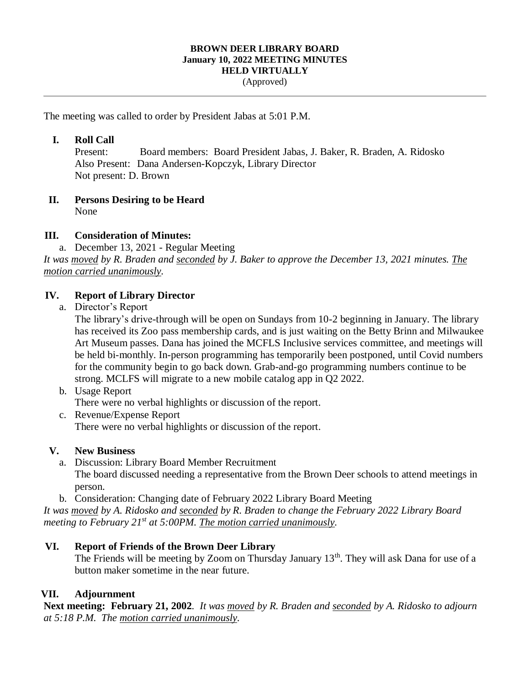#### **BROWN DEER LIBRARY BOARD January 10, 2022 MEETING MINUTES HELD VIRTUALLY** (Approved)

The meeting was called to order by President Jabas at 5:01 P.M.

#### **I. Roll Call**

Present: Board members: Board President Jabas, J. Baker, R. Braden, A. Ridosko Also Present: Dana Andersen-Kopczyk, Library Director Not present: D. Brown

# **II. Persons Desiring to be Heard**

None

## **III. Consideration of Minutes:**

a. December 13, 2021 - Regular Meeting

*It was moved by R. Braden and seconded by J. Baker to approve the December 13, 2021 minutes. The motion carried unanimously.* 

## **IV. Report of Library Director**

a. Director's Report

The library's drive-through will be open on Sundays from 10-2 beginning in January. The library has received its Zoo pass membership cards, and is just waiting on the Betty Brinn and Milwaukee Art Museum passes. Dana has joined the MCFLS Inclusive services committee, and meetings will be held bi-monthly. In-person programming has temporarily been postponed, until Covid numbers for the community begin to go back down. Grab-and-go programming numbers continue to be strong. MCLFS will migrate to a new mobile catalog app in Q2 2022.

- b. Usage Report There were no verbal highlights or discussion of the report.
- c. Revenue/Expense Report There were no verbal highlights or discussion of the report.

## **V. New Business**

- a. Discussion: Library Board Member Recruitment The board discussed needing a representative from the Brown Deer schools to attend meetings in person.
- b. Consideration: Changing date of February 2022 Library Board Meeting

*It was moved by A. Ridosko and seconded by R. Braden to change the February 2022 Library Board meeting to February 21st at 5:00PM. The motion carried unanimously.* 

## **VI. Report of Friends of the Brown Deer Library**

The Friends will be meeting by Zoom on Thursday January 13<sup>th</sup>. They will ask Dana for use of a button maker sometime in the near future.

## **VII. Adjournment**

**Next meeting: February 21, 2002***. It was moved by R. Braden and seconded by A. Ridosko to adjourn at 5:18 P.M. The motion carried unanimously.*